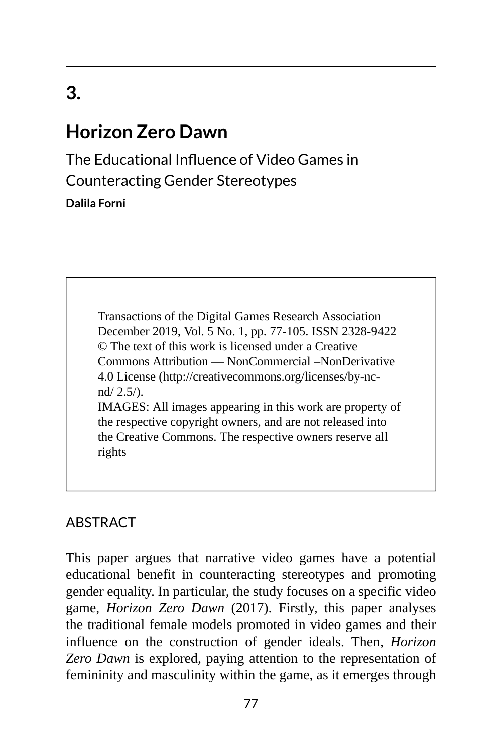# **3.**

## **Horizon Zero Dawn**

The Educational Influence of Video Games in Counteracting Gender Stereotypes **Dalila Forni**

> Transactions of the Digital Games Research Association December 2019, Vol. 5 No. 1, pp. 77-105. ISSN 2328-9422 © The text of this work is licensed under a Creative Commons Attribution — NonCommercial –NonDerivative 4.0 License (http://creativecommons.org/licenses/by-ncnd/ 2.5/). IMAGES: All images appearing in this work are property of the respective copyright owners, and are not released into the Creative Commons. The respective owners reserve all

#### **ABSTRACT**

rights

This paper argues that narrative video games have a potential educational benefit in counteracting stereotypes and promoting gender equality. In particular, the study focuses on a specific video game, *Horizon Zero Dawn* (2017). Firstly, this paper analyses the traditional female models promoted in video games and their influence on the construction of gender ideals. Then, *Horizon Zero Dawn* is explored, paying attention to the representation of femininity and masculinity within the game, as it emerges through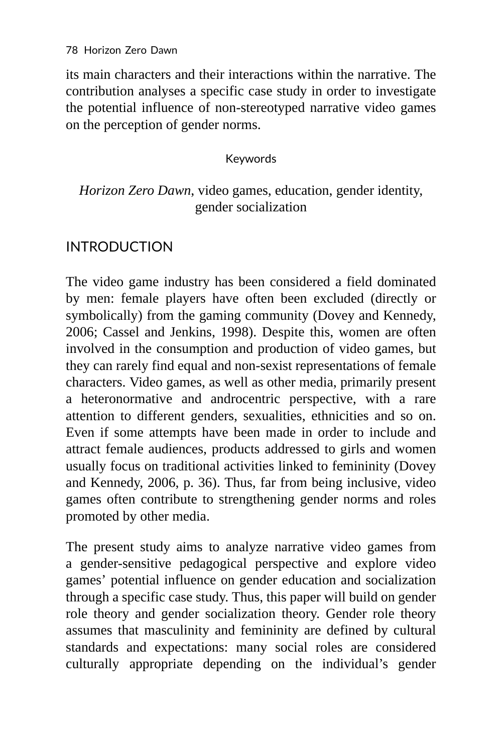its main characters and their interactions within the narrative. The contribution analyses a specific case study in order to investigate the potential influence of non-stereotyped narrative video games on the perception of gender norms.

#### Keywords

#### *Horizon Zero Dawn*, video games, education, gender identity, gender socialization

## INTRODUCTION

The video game industry has been considered a field dominated by men: female players have often been excluded (directly or symbolically) from the gaming community (Dovey and Kennedy, 2006; Cassel and Jenkins, 1998). Despite this, women are often involved in the consumption and production of video games, but they can rarely find equal and non-sexist representations of female characters. Video games, as well as other media, primarily present a heteronormative and androcentric perspective, with a rare attention to different genders, sexualities, ethnicities and so on. Even if some attempts have been made in order to include and attract female audiences, products addressed to girls and women usually focus on traditional activities linked to femininity (Dovey and Kennedy, 2006, p. 36). Thus, far from being inclusive, video games often contribute to strengthening gender norms and roles promoted by other media.

The present study aims to analyze narrative video games from a gender-sensitive pedagogical perspective and explore video games' potential influence on gender education and socialization through a specific case study. Thus, this paper will build on gender role theory and gender socialization theory. Gender role theory assumes that masculinity and femininity are defined by cultural standards and expectations: many social roles are considered culturally appropriate depending on the individual's gender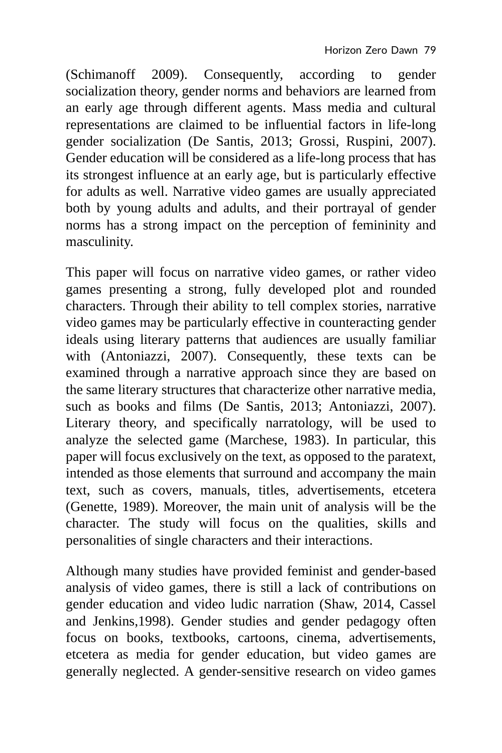(Schimanoff 2009). Consequently, according to gender socialization theory, gender norms and behaviors are learned from an early age through different agents. Mass media and cultural representations are claimed to be influential factors in life-long gender socialization (De Santis, 2013; Grossi, Ruspini, 2007). Gender education will be considered as a life-long process that has its strongest influence at an early age, but is particularly effective for adults as well. Narrative video games are usually appreciated both by young adults and adults, and their portrayal of gender norms has a strong impact on the perception of femininity and masculinity.

This paper will focus on narrative video games, or rather video games presenting a strong, fully developed plot and rounded characters. Through their ability to tell complex stories, narrative video games may be particularly effective in counteracting gender ideals using literary patterns that audiences are usually familiar with (Antoniazzi, 2007). Consequently, these texts can be examined through a narrative approach since they are based on the same literary structures that characterize other narrative media, such as books and films (De Santis, 2013; Antoniazzi, 2007). Literary theory, and specifically narratology, will be used to analyze the selected game (Marchese, 1983). In particular, this paper will focus exclusively on the text, as opposed to the paratext, intended as those elements that surround and accompany the main text, such as covers, manuals, titles, advertisements, etcetera (Genette, 1989). Moreover, the main unit of analysis will be the character. The study will focus on the qualities, skills and personalities of single characters and their interactions.

Although many studies have provided feminist and gender-based analysis of video games, there is still a lack of contributions on gender education and video ludic narration (Shaw, 2014, Cassel and Jenkins,1998). Gender studies and gender pedagogy often focus on books, textbooks, cartoons, cinema, advertisements, etcetera as media for gender education, but video games are generally neglected. A gender-sensitive research on video games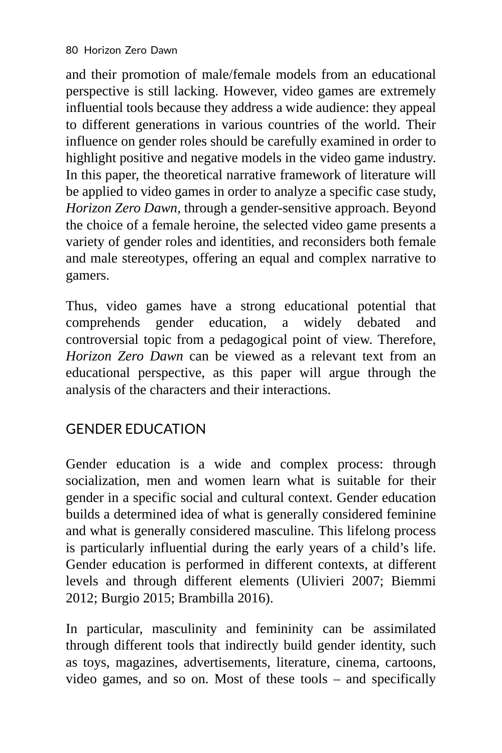and their promotion of male/female models from an educational perspective is still lacking. However, video games are extremely influential tools because they address a wide audience: they appeal to different generations in various countries of the world. Their influence on gender roles should be carefully examined in order to highlight positive and negative models in the video game industry. In this paper, the theoretical narrative framework of literature will be applied to video games in order to analyze a specific case study, *Horizon Zero Dawn,* through a gender-sensitive approach. Beyond the choice of a female heroine, the selected video game presents a variety of gender roles and identities, and reconsiders both female and male stereotypes, offering an equal and complex narrative to gamers.

Thus, video games have a strong educational potential that comprehends gender education, a widely debated and controversial topic from a pedagogical point of view. Therefore, *Horizon Zero Dawn* can be viewed as a relevant text from an educational perspective, as this paper will argue through the analysis of the characters and their interactions.

## GENDER EDUCATION

Gender education is a wide and complex process: through socialization, men and women learn what is suitable for their gender in a specific social and cultural context. Gender education builds a determined idea of what is generally considered feminine and what is generally considered masculine. This lifelong process is particularly influential during the early years of a child's life. Gender education is performed in different contexts, at different levels and through different elements (Ulivieri 2007; Biemmi 2012; Burgio 2015; Brambilla 2016).

In particular, masculinity and femininity can be assimilated through different tools that indirectly build gender identity, such as toys, magazines, advertisements, literature, cinema, cartoons, video games, and so on. Most of these tools – and specifically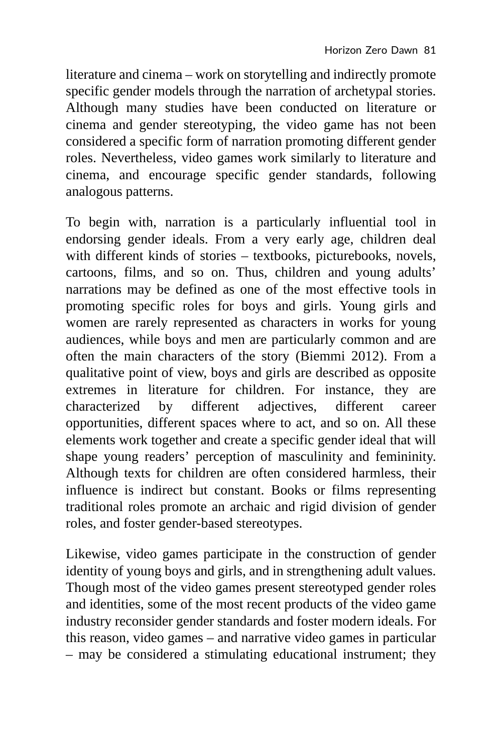literature and cinema – work on storytelling and indirectly promote specific gender models through the narration of archetypal stories. Although many studies have been conducted on literature or cinema and gender stereotyping, the video game has not been considered a specific form of narration promoting different gender roles. Nevertheless, video games work similarly to literature and cinema, and encourage specific gender standards, following analogous patterns.

To begin with, narration is a particularly influential tool in endorsing gender ideals. From a very early age, children deal with different kinds of stories – textbooks, picturebooks, novels, cartoons, films, and so on. Thus, children and young adults' narrations may be defined as one of the most effective tools in promoting specific roles for boys and girls. Young girls and women are rarely represented as characters in works for young audiences, while boys and men are particularly common and are often the main characters of the story (Biemmi 2012). From a qualitative point of view, boys and girls are described as opposite extremes in literature for children. For instance, they are characterized by different adjectives, different career opportunities, different spaces where to act, and so on. All these elements work together and create a specific gender ideal that will shape young readers' perception of masculinity and femininity. Although texts for children are often considered harmless, their influence is indirect but constant. Books or films representing traditional roles promote an archaic and rigid division of gender roles, and foster gender-based stereotypes.

Likewise, video games participate in the construction of gender identity of young boys and girls, and in strengthening adult values. Though most of the video games present stereotyped gender roles and identities, some of the most recent products of the video game industry reconsider gender standards and foster modern ideals. For this reason, video games – and narrative video games in particular – may be considered a stimulating educational instrument; they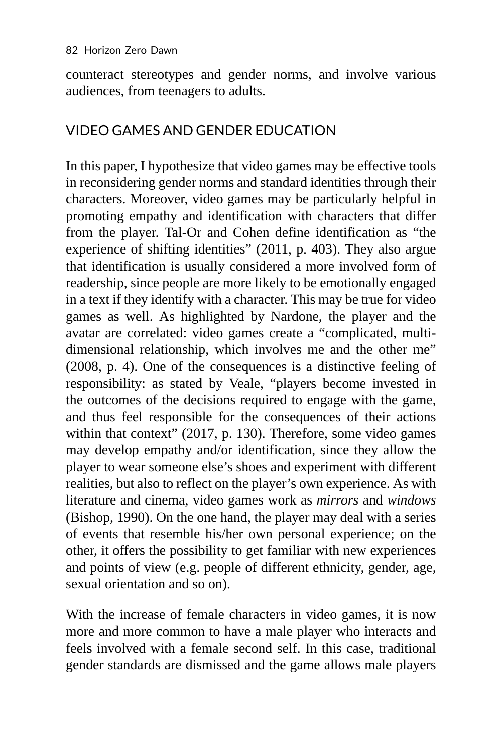counteract stereotypes and gender norms, and involve various audiences, from teenagers to adults.

### VIDEO GAMES AND GENDER EDUCATION

In this paper, I hypothesize that video games may be effective tools in reconsidering gender norms and standard identities through their characters. Moreover, video games may be particularly helpful in promoting empathy and identification with characters that differ from the player. Tal-Or and Cohen define identification as "the experience of shifting identities" (2011, p. 403). They also argue that identification is usually considered a more involved form of readership, since people are more likely to be emotionally engaged in a text if they identify with a character. This may be true for video games as well. As highlighted by Nardone, the player and the avatar are correlated: video games create a "complicated, multidimensional relationship, which involves me and the other me" (2008, p. 4). One of the consequences is a distinctive feeling of responsibility: as stated by Veale, "players become invested in the outcomes of the decisions required to engage with the game, and thus feel responsible for the consequences of their actions within that context" (2017, p. 130). Therefore, some video games may develop empathy and/or identification, since they allow the player to wear someone else's shoes and experiment with different realities, but also to reflect on the player's own experience. As with literature and cinema, video games work as *mirrors* and *windows* (Bishop, 1990). On the one hand, the player may deal with a series of events that resemble his/her own personal experience; on the other, it offers the possibility to get familiar with new experiences and points of view (e.g. people of different ethnicity, gender, age, sexual orientation and so on).

With the increase of female characters in video games, it is now more and more common to have a male player who interacts and feels involved with a female second self. In this case, traditional gender standards are dismissed and the game allows male players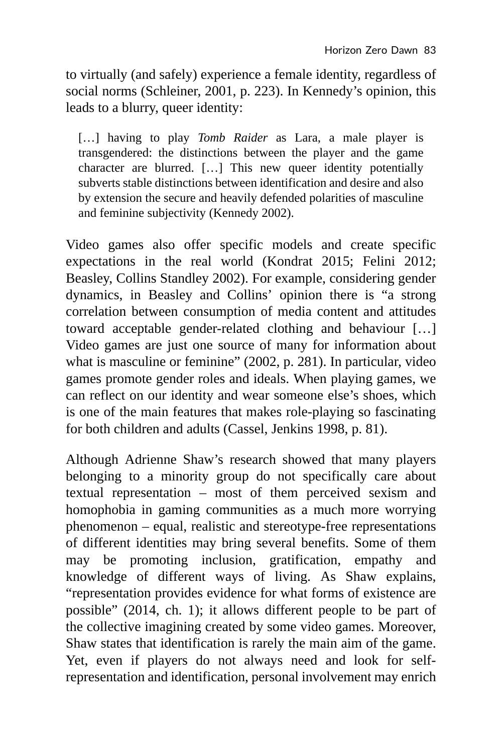to virtually (and safely) experience a female identity, regardless of social norms (Schleiner, 2001, p. 223). In Kennedy's opinion, this leads to a blurry, queer identity:

[...] having to play *Tomb Raider* as Lara, a male player is transgendered: the distinctions between the player and the game character are blurred. […] This new queer identity potentially subverts stable distinctions between identification and desire and also by extension the secure and heavily defended polarities of masculine and feminine subjectivity (Kennedy 2002).

Video games also offer specific models and create specific expectations in the real world (Kondrat 2015; Felini 2012; Beasley, Collins Standley 2002). For example, considering gender dynamics, in Beasley and Collins' opinion there is "a strong correlation between consumption of media content and attitudes toward acceptable gender-related clothing and behaviour […] Video games are just one source of many for information about what is masculine or feminine" (2002, p. 281). In particular, video games promote gender roles and ideals. When playing games, we can reflect on our identity and wear someone else's shoes, which is one of the main features that makes role-playing so fascinating for both children and adults (Cassel, Jenkins 1998, p. 81).

Although Adrienne Shaw's research showed that many players belonging to a minority group do not specifically care about textual representation – most of them perceived sexism and homophobia in gaming communities as a much more worrying phenomenon – equal, realistic and stereotype-free representations of different identities may bring several benefits. Some of them may be promoting inclusion, gratification, empathy and knowledge of different ways of living. As Shaw explains, "representation provides evidence for what forms of existence are possible" (2014, ch. 1); it allows different people to be part of the collective imagining created by some video games. Moreover, Shaw states that identification is rarely the main aim of the game. Yet, even if players do not always need and look for selfrepresentation and identification, personal involvement may enrich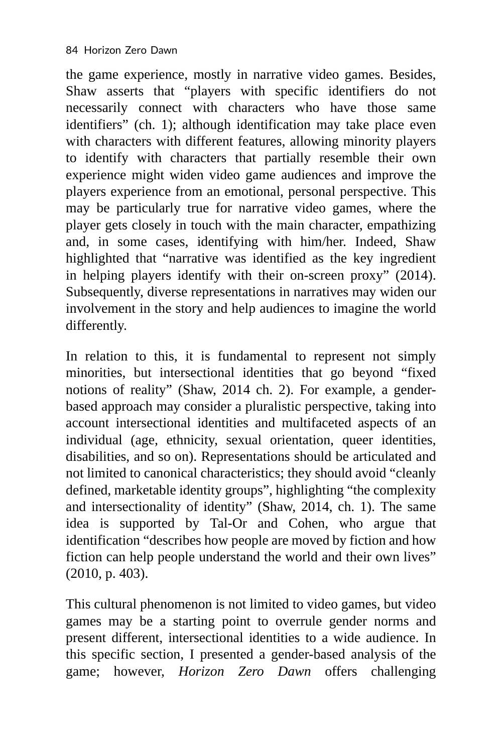the game experience, mostly in narrative video games. Besides, Shaw asserts that "players with specific identifiers do not necessarily connect with characters who have those same identifiers" (ch. 1); although identification may take place even with characters with different features, allowing minority players to identify with characters that partially resemble their own experience might widen video game audiences and improve the players experience from an emotional, personal perspective. This may be particularly true for narrative video games, where the player gets closely in touch with the main character, empathizing and, in some cases, identifying with him/her. Indeed, Shaw highlighted that "narrative was identified as the key ingredient in helping players identify with their on-screen proxy" (2014). Subsequently, diverse representations in narratives may widen our involvement in the story and help audiences to imagine the world differently.

In relation to this, it is fundamental to represent not simply minorities, but intersectional identities that go beyond "fixed notions of reality" (Shaw, 2014 ch. 2). For example, a genderbased approach may consider a pluralistic perspective, taking into account intersectional identities and multifaceted aspects of an individual (age, ethnicity, sexual orientation, queer identities, disabilities, and so on). Representations should be articulated and not limited to canonical characteristics; they should avoid "cleanly defined, marketable identity groups", highlighting "the complexity and intersectionality of identity" (Shaw, 2014, ch. 1). The same idea is supported by Tal-Or and Cohen, who argue that identification "describes how people are moved by fiction and how fiction can help people understand the world and their own lives" (2010, p. 403).

This cultural phenomenon is not limited to video games, but video games may be a starting point to overrule gender norms and present different, intersectional identities to a wide audience. In this specific section, I presented a gender-based analysis of the game; however, *Horizon Zero Dawn* offers challenging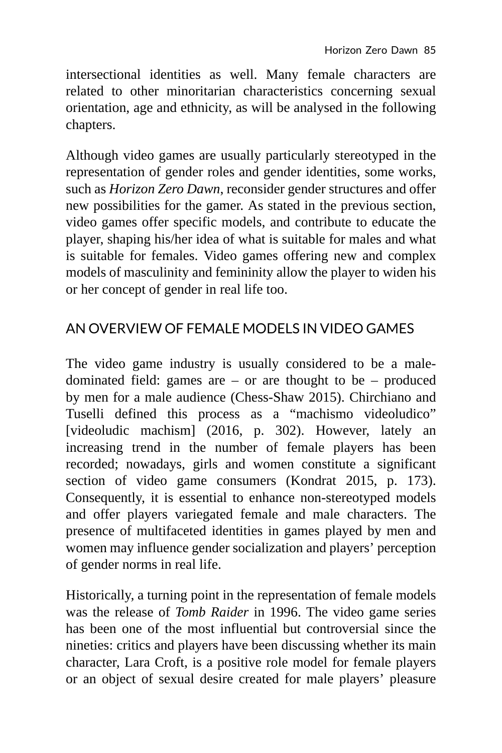intersectional identities as well. Many female characters are related to other minoritarian characteristics concerning sexual orientation, age and ethnicity, as will be analysed in the following chapters.

Although video games are usually particularly stereotyped in the representation of gender roles and gender identities, some works, such as *Horizon Zero Dawn*, reconsider gender structures and offer new possibilities for the gamer. As stated in the previous section, video games offer specific models, and contribute to educate the player, shaping his/her idea of what is suitable for males and what is suitable for females. Video games offering new and complex models of masculinity and femininity allow the player to widen his or her concept of gender in real life too.

## AN OVERVIEW OF FEMALE MODELS IN VIDEO GAMES

The video game industry is usually considered to be a maledominated field: games are  $-$  or are thought to be  $-$  produced by men for a male audience (Chess-Shaw 2015). Chirchiano and Tuselli defined this process as a "machismo videoludico" [videoludic machism] (2016, p. 302). However, lately an increasing trend in the number of female players has been recorded; nowadays, girls and women constitute a significant section of video game consumers (Kondrat 2015, p. 173). Consequently, it is essential to enhance non-stereotyped models and offer players variegated female and male characters. The presence of multifaceted identities in games played by men and women may influence gender socialization and players' perception of gender norms in real life.

Historically, a turning point in the representation of female models was the release of *Tomb Raider* in 1996. The video game series has been one of the most influential but controversial since the nineties: critics and players have been discussing whether its main character, Lara Croft, is a positive role model for female players or an object of sexual desire created for male players' pleasure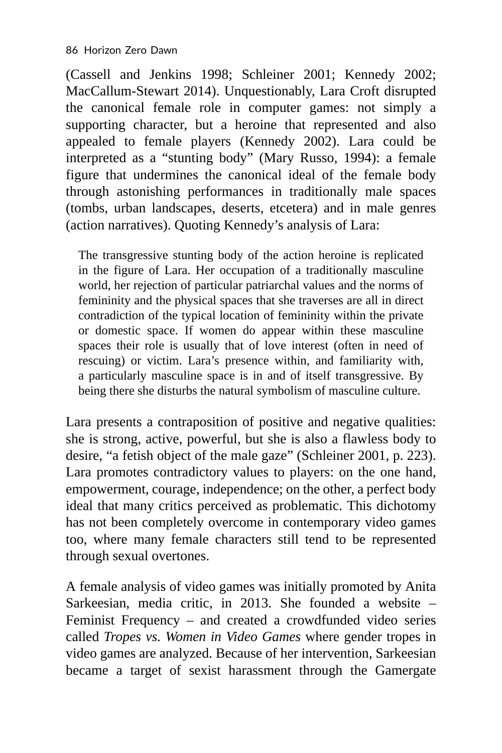(Cassell and Jenkins 1998; Schleiner 2001; Kennedy 2002; MacCallum-Stewart 2014). Unquestionably, Lara Croft disrupted the canonical female role in computer games: not simply a supporting character, but a heroine that represented and also appealed to female players (Kennedy 2002). Lara could be interpreted as a "stunting body" (Mary Russo, 1994): a female figure that undermines the canonical ideal of the female body through astonishing performances in traditionally male spaces (tombs, urban landscapes, deserts, etcetera) and in male genres (action narratives). Quoting Kennedy's analysis of Lara:

The transgressive stunting body of the action heroine is replicated in the figure of Lara. Her occupation of a traditionally masculine world, her rejection of particular patriarchal values and the norms of femininity and the physical spaces that she traverses are all in direct contradiction of the typical location of femininity within the private or domestic space. If women do appear within these masculine spaces their role is usually that of love interest (often in need of rescuing) or victim. Lara's presence within, and familiarity with, a particularly masculine space is in and of itself transgressive. By being there she disturbs the natural symbolism of masculine culture.

Lara presents a contraposition of positive and negative qualities: she is strong, active, powerful, but she is also a flawless body to desire, "a fetish object of the male gaze" (Schleiner 2001, p. 223). Lara promotes contradictory values to players: on the one hand, empowerment, courage, independence; on the other, a perfect body ideal that many critics perceived as problematic. This dichotomy has not been completely overcome in contemporary video games too, where many female characters still tend to be represented through sexual overtones.

A female analysis of video games was initially promoted by Anita Sarkeesian, media critic, in 2013. She founded a website – Feminist Frequency – and created a crowdfunded video series called *Tropes vs. Women in Video Games* where gender tropes in video games are analyzed. Because of her intervention, Sarkeesian became a target of sexist harassment through the Gamergate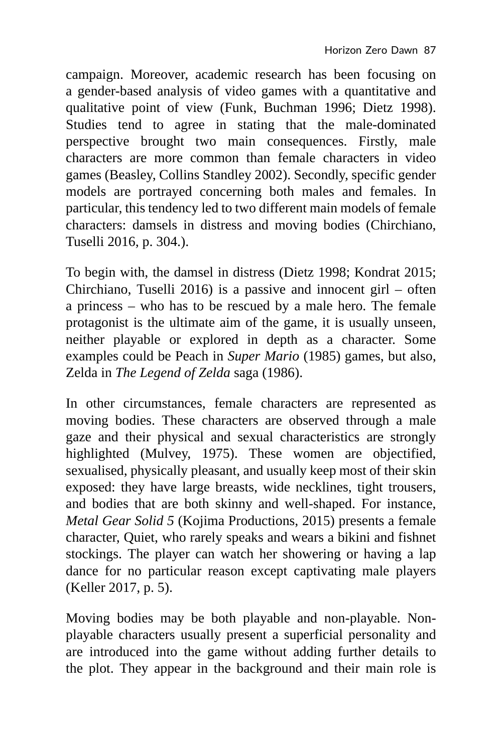campaign. Moreover, academic research has been focusing on a gender-based analysis of video games with a quantitative and qualitative point of view (Funk, Buchman 1996; Dietz 1998). Studies tend to agree in stating that the male-dominated perspective brought two main consequences. Firstly, male characters are more common than female characters in video games (Beasley, Collins Standley 2002). Secondly, specific gender models are portrayed concerning both males and females. In particular, this tendency led to two different main models of female characters: damsels in distress and moving bodies (Chirchiano, Tuselli 2016, p. 304.).

To begin with, the damsel in distress (Dietz 1998; Kondrat 2015; Chirchiano, Tuselli 2016) is a passive and innocent girl – often a princess – who has to be rescued by a male hero. The female protagonist is the ultimate aim of the game, it is usually unseen, neither playable or explored in depth as a character. Some examples could be Peach in *Super Mario* (1985) games, but also, Zelda in *The Legend of Zelda* saga (1986).

In other circumstances, female characters are represented as moving bodies. These characters are observed through a male gaze and their physical and sexual characteristics are strongly highlighted (Mulvey, 1975). These women are objectified, sexualised, physically pleasant, and usually keep most of their skin exposed: they have large breasts, wide necklines, tight trousers, and bodies that are both skinny and well-shaped. For instance, *Metal Gear Solid 5* (Kojima Productions, 2015) presents a female character, Quiet, who rarely speaks and wears a bikini and fishnet stockings. The player can watch her showering or having a lap dance for no particular reason except captivating male players (Keller 2017, p. 5).

Moving bodies may be both playable and non-playable. Nonplayable characters usually present a superficial personality and are introduced into the game without adding further details to the plot. They appear in the background and their main role is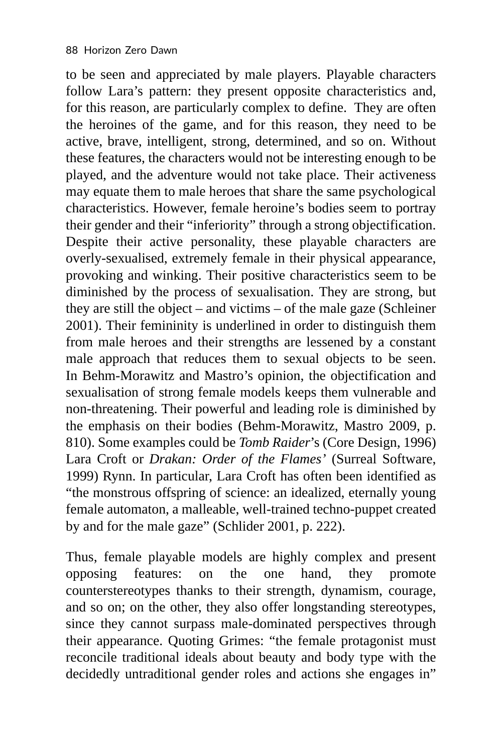to be seen and appreciated by male players. Playable characters follow Lara's pattern: they present opposite characteristics and, for this reason, are particularly complex to define. They are often the heroines of the game, and for this reason, they need to be active, brave, intelligent, strong, determined, and so on. Without these features, the characters would not be interesting enough to be played, and the adventure would not take place. Their activeness may equate them to male heroes that share the same psychological characteristics. However, female heroine's bodies seem to portray their gender and their "inferiority" through a strong objectification. Despite their active personality, these playable characters are overly-sexualised, extremely female in their physical appearance, provoking and winking. Their positive characteristics seem to be diminished by the process of sexualisation. They are strong, but they are still the object – and victims – of the male gaze (Schleiner 2001). Their femininity is underlined in order to distinguish them from male heroes and their strengths are lessened by a constant male approach that reduces them to sexual objects to be seen. In Behm-Morawitz and Mastro's opinion, the objectification and sexualisation of strong female models keeps them vulnerable and non-threatening. Their powerful and leading role is diminished by the emphasis on their bodies (Behm-Morawitz, Mastro 2009, p. 810). Some examples could be *Tomb Raider*'s (Core Design, 1996) Lara Croft or *Drakan: Order of the Flames'* (Surreal Software, 1999) Rynn. In particular, Lara Croft has often been identified as "the monstrous offspring of science: an idealized, eternally young female automaton, a malleable, well-trained techno-puppet created by and for the male gaze" (Schlider 2001, p. 222).

Thus, female playable models are highly complex and present opposing features: on the one hand, they promote counterstereotypes thanks to their strength, dynamism, courage, and so on; on the other, they also offer longstanding stereotypes, since they cannot surpass male-dominated perspectives through their appearance. Quoting Grimes: "the female protagonist must reconcile traditional ideals about beauty and body type with the decidedly untraditional gender roles and actions she engages in"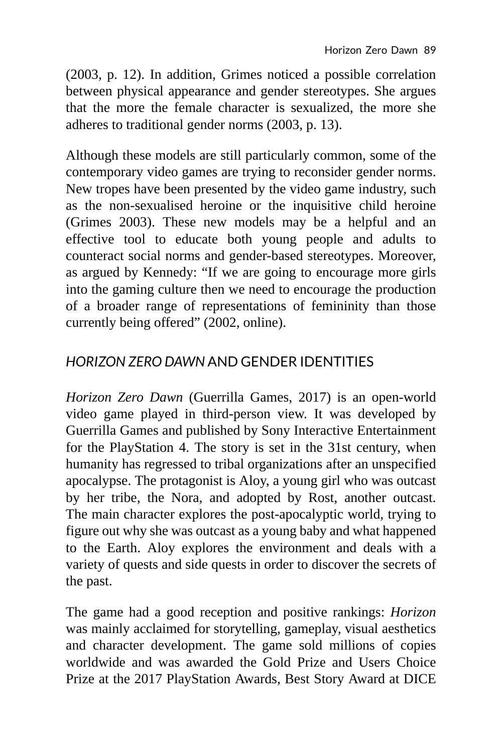(2003, p. 12). In addition, Grimes noticed a possible correlation between physical appearance and gender stereotypes. She argues that the more the female character is sexualized, the more she adheres to traditional gender norms (2003, p. 13).

Although these models are still particularly common, some of the contemporary video games are trying to reconsider gender norms. New tropes have been presented by the video game industry, such as the non-sexualised heroine or the inquisitive child heroine (Grimes 2003). These new models may be a helpful and an effective tool to educate both young people and adults to counteract social norms and gender-based stereotypes. Moreover, as argued by Kennedy: "If we are going to encourage more girls into the gaming culture then we need to encourage the production of a broader range of representations of femininity than those currently being offered" (2002, online).

#### *HORIZON ZERO DAWN* AND GENDER IDENTITIES

*Horizon Zero Dawn* (Guerrilla Games, 2017) is an open-world video game played in third-person view. It was developed by Guerrilla Games and published by Sony Interactive Entertainment for the PlayStation 4. The story is set in the 31st century, when humanity has regressed to tribal organizations after an unspecified apocalypse. The protagonist is Aloy, a young girl who was outcast by her tribe, the Nora, and adopted by Rost, another outcast. The main character explores the post-apocalyptic world, trying to figure out why she was outcast as a young baby and what happened to the Earth. Aloy explores the environment and deals with a variety of quests and side quests in order to discover the secrets of the past.

The game had a good reception and positive rankings: *Horizon* was mainly acclaimed for storytelling, gameplay, visual aesthetics and character development. The game sold millions of copies worldwide and was awarded the Gold Prize and Users Choice Prize at the 2017 PlayStation Awards, Best Story Award at DICE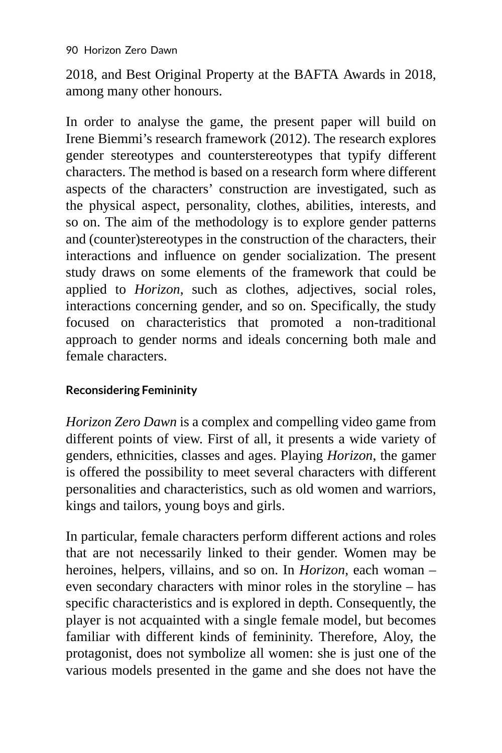2018, and Best Original Property at the BAFTA Awards in 2018, among many other honours.

In order to analyse the game, the present paper will build on Irene Biemmi's research framework (2012). The research explores gender stereotypes and counterstereotypes that typify different characters. The method is based on a research form where different aspects of the characters' construction are investigated, such as the physical aspect, personality, clothes, abilities, interests, and so on. The aim of the methodology is to explore gender patterns and (counter)stereotypes in the construction of the characters, their interactions and influence on gender socialization. The present study draws on some elements of the framework that could be applied to *Horizon*, such as clothes, adjectives, social roles, interactions concerning gender, and so on. Specifically, the study focused on characteristics that promoted a non-traditional approach to gender norms and ideals concerning both male and female characters.

#### **Reconsidering Femininity**

*Horizon Zero Dawn* is a complex and compelling video game from different points of view. First of all, it presents a wide variety of genders, ethnicities, classes and ages. Playing *Horizon*, the gamer is offered the possibility to meet several characters with different personalities and characteristics, such as old women and warriors, kings and tailors, young boys and girls.

In particular, female characters perform different actions and roles that are not necessarily linked to their gender. Women may be heroines, helpers, villains, and so on. In *Horizon*, each woman – even secondary characters with minor roles in the storyline – has specific characteristics and is explored in depth. Consequently, the player is not acquainted with a single female model, but becomes familiar with different kinds of femininity. Therefore, Aloy, the protagonist, does not symbolize all women: she is just one of the various models presented in the game and she does not have the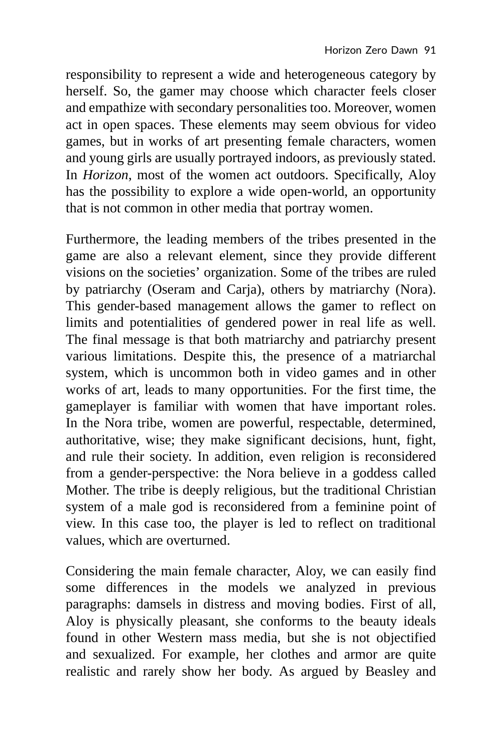responsibility to represent a wide and heterogeneous category by herself. So, the gamer may choose which character feels closer and empathize with secondary personalities too. Moreover, women act in open spaces. These elements may seem obvious for video games, but in works of art presenting female characters, women and young girls are usually portrayed indoors, as previously stated. In *Horizon*, most of the women act outdoors. Specifically, Aloy has the possibility to explore a wide open-world, an opportunity that is not common in other media that portray women.

Furthermore, the leading members of the tribes presented in the game are also a relevant element, since they provide different visions on the societies' organization. Some of the tribes are ruled by patriarchy (Oseram and Carja), others by matriarchy (Nora). This gender-based management allows the gamer to reflect on limits and potentialities of gendered power in real life as well. The final message is that both matriarchy and patriarchy present various limitations. Despite this, the presence of a matriarchal system, which is uncommon both in video games and in other works of art, leads to many opportunities. For the first time, the gameplayer is familiar with women that have important roles. In the Nora tribe, women are powerful, respectable, determined, authoritative, wise; they make significant decisions, hunt, fight, and rule their society. In addition, even religion is reconsidered from a gender-perspective: the Nora believe in a goddess called Mother. The tribe is deeply religious, but the traditional Christian system of a male god is reconsidered from a feminine point of view. In this case too, the player is led to reflect on traditional values, which are overturned.

Considering the main female character, Aloy, we can easily find some differences in the models we analyzed in previous paragraphs: damsels in distress and moving bodies. First of all, Aloy is physically pleasant, she conforms to the beauty ideals found in other Western mass media, but she is not objectified and sexualized. For example, her clothes and armor are quite realistic and rarely show her body. As argued by Beasley and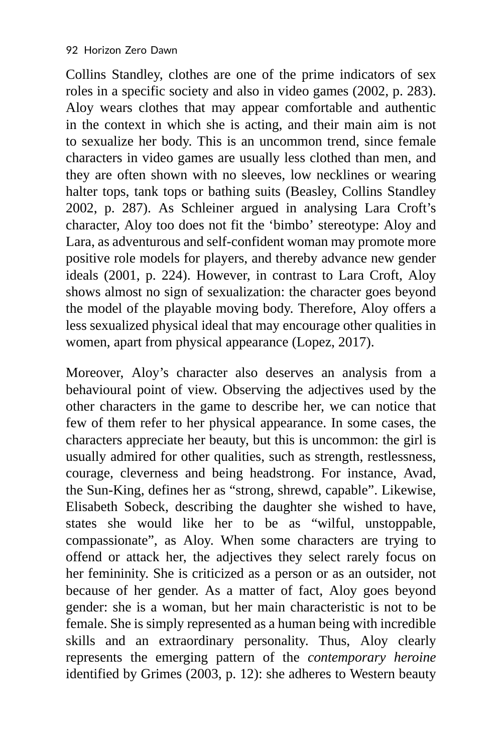Collins Standley, clothes are one of the prime indicators of sex roles in a specific society and also in video games (2002, p. 283). Aloy wears clothes that may appear comfortable and authentic in the context in which she is acting, and their main aim is not to sexualize her body. This is an uncommon trend, since female characters in video games are usually less clothed than men, and they are often shown with no sleeves, low necklines or wearing halter tops, tank tops or bathing suits (Beasley, Collins Standley 2002, p. 287). As Schleiner argued in analysing Lara Croft's character, Aloy too does not fit the 'bimbo' stereotype: Aloy and Lara, as adventurous and self-confident woman may promote more positive role models for players, and thereby advance new gender ideals (2001, p. 224). However, in contrast to Lara Croft, Aloy shows almost no sign of sexualization: the character goes beyond the model of the playable moving body. Therefore, Aloy offers a less sexualized physical ideal that may encourage other qualities in women, apart from physical appearance (Lopez, 2017).

Moreover, Aloy's character also deserves an analysis from a behavioural point of view. Observing the adjectives used by the other characters in the game to describe her, we can notice that few of them refer to her physical appearance. In some cases, the characters appreciate her beauty, but this is uncommon: the girl is usually admired for other qualities, such as strength, restlessness, courage, cleverness and being headstrong. For instance, Avad, the Sun-King, defines her as "strong, shrewd, capable". Likewise, Elisabeth Sobeck, describing the daughter she wished to have, states she would like her to be as "wilful, unstoppable, compassionate", as Aloy. When some characters are trying to offend or attack her, the adjectives they select rarely focus on her femininity. She is criticized as a person or as an outsider, not because of her gender. As a matter of fact, Aloy goes beyond gender: she is a woman, but her main characteristic is not to be female. She is simply represented as a human being with incredible skills and an extraordinary personality. Thus, Aloy clearly represents the emerging pattern of the *contemporary heroine* identified by Grimes (2003, p. 12): she adheres to Western beauty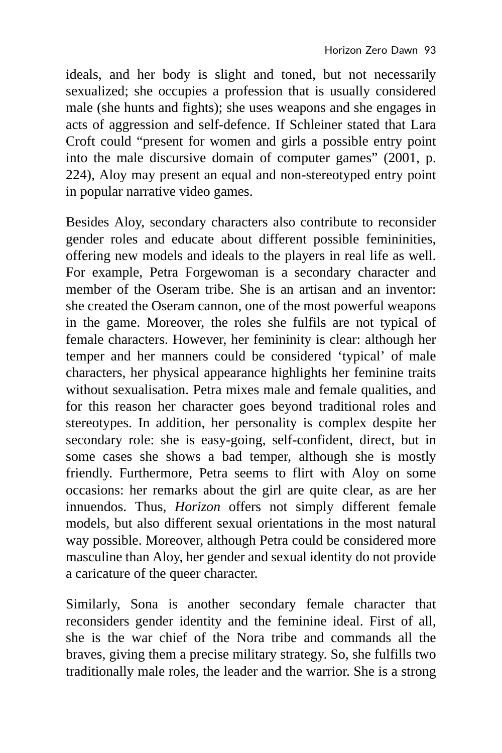ideals, and her body is slight and toned, but not necessarily sexualized; she occupies a profession that is usually considered male (she hunts and fights); she uses weapons and she engages in acts of aggression and self-defence. If Schleiner stated that Lara Croft could "present for women and girls a possible entry point into the male discursive domain of computer games" (2001, p. 224), Aloy may present an equal and non-stereotyped entry point in popular narrative video games.

Besides Aloy, secondary characters also contribute to reconsider gender roles and educate about different possible femininities, offering new models and ideals to the players in real life as well. For example, Petra Forgewoman is a secondary character and member of the Oseram tribe. She is an artisan and an inventor: she created the Oseram cannon, one of the most powerful weapons in the game. Moreover, the roles she fulfils are not typical of female characters. However, her femininity is clear: although her temper and her manners could be considered 'typical' of male characters, her physical appearance highlights her feminine traits without sexualisation. Petra mixes male and female qualities, and for this reason her character goes beyond traditional roles and stereotypes. In addition, her personality is complex despite her secondary role: she is easy-going, self-confident, direct, but in some cases she shows a bad temper, although she is mostly friendly. Furthermore, Petra seems to flirt with Aloy on some occasions: her remarks about the girl are quite clear, as are her innuendos. Thus, *Horizon* offers not simply different female models, but also different sexual orientations in the most natural way possible. Moreover, although Petra could be considered more masculine than Aloy, her gender and sexual identity do not provide a caricature of the queer character.

Similarly, Sona is another secondary female character that reconsiders gender identity and the feminine ideal. First of all, she is the war chief of the Nora tribe and commands all the braves, giving them a precise military strategy. So, she fulfills two traditionally male roles, the leader and the warrior. She is a strong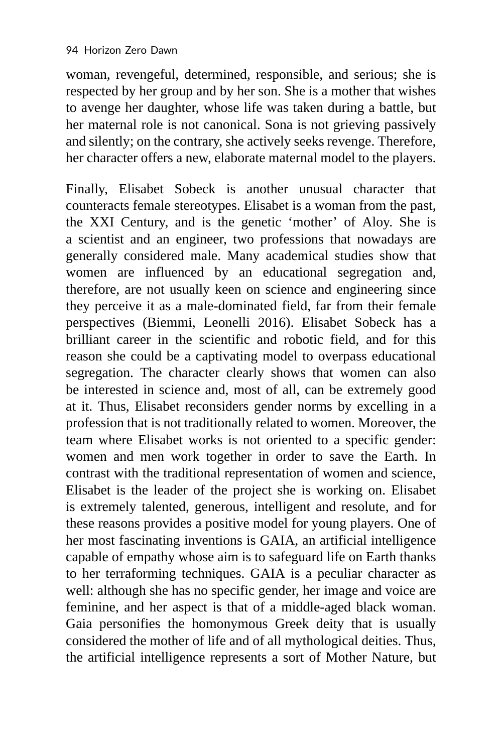woman, revengeful, determined, responsible, and serious; she is respected by her group and by her son. She is a mother that wishes to avenge her daughter, whose life was taken during a battle, but her maternal role is not canonical. Sona is not grieving passively and silently; on the contrary, she actively seeks revenge. Therefore, her character offers a new, elaborate maternal model to the players.

Finally, Elisabet Sobeck is another unusual character that counteracts female stereotypes. Elisabet is a woman from the past, the XXI Century, and is the genetic 'mother' of Aloy. She is a scientist and an engineer, two professions that nowadays are generally considered male. Many academical studies show that women are influenced by an educational segregation and, therefore, are not usually keen on science and engineering since they perceive it as a male-dominated field, far from their female perspectives (Biemmi, Leonelli 2016). Elisabet Sobeck has a brilliant career in the scientific and robotic field, and for this reason she could be a captivating model to overpass educational segregation. The character clearly shows that women can also be interested in science and, most of all, can be extremely good at it. Thus, Elisabet reconsiders gender norms by excelling in a profession that is not traditionally related to women. Moreover, the team where Elisabet works is not oriented to a specific gender: women and men work together in order to save the Earth. In contrast with the traditional representation of women and science, Elisabet is the leader of the project she is working on. Elisabet is extremely talented, generous, intelligent and resolute, and for these reasons provides a positive model for young players. One of her most fascinating inventions is GAIA, an artificial intelligence capable of empathy whose aim is to safeguard life on Earth thanks to her terraforming techniques. GAIA is a peculiar character as well: although she has no specific gender, her image and voice are feminine, and her aspect is that of a middle-aged black woman. Gaia personifies the homonymous Greek deity that is usually considered the mother of life and of all mythological deities. Thus, the artificial intelligence represents a sort of Mother Nature, but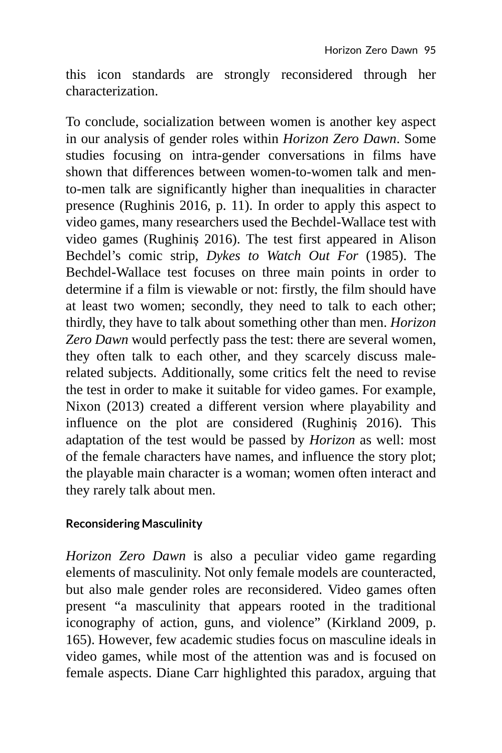this icon standards are strongly reconsidered through her characterization.

To conclude, socialization between women is another key aspect in our analysis of gender roles within *Horizon Zero Dawn*. Some studies focusing on intra-gender conversations in films have shown that differences between women-to-women talk and mento-men talk are significantly higher than inequalities in character presence (Rughinis 2016, p. 11). In order to apply this aspect to video games, many researchers used the Bechdel-Wallace test with video games (Rughiniș 2016). The test first appeared in Alison Bechdel's comic strip, *Dykes to Watch Out For* (1985). The Bechdel-Wallace test focuses on three main points in order to determine if a film is viewable or not: firstly, the film should have at least two women; secondly, they need to talk to each other; thirdly, they have to talk about something other than men. *Horizon Zero Dawn* would perfectly pass the test: there are several women, they often talk to each other, and they scarcely discuss malerelated subjects. Additionally, some critics felt the need to revise the test in order to make it suitable for video games. For example, Nixon (2013) created a different version where playability and influence on the plot are considered (Rughiniș 2016). This adaptation of the test would be passed by *Horizon* as well: most of the female characters have names, and influence the story plot; the playable main character is a woman; women often interact and they rarely talk about men.

#### **Reconsidering Masculinity**

*Horizon Zero Dawn* is also a peculiar video game regarding elements of masculinity. Not only female models are counteracted, but also male gender roles are reconsidered. Video games often present "a masculinity that appears rooted in the traditional iconography of action, guns, and violence" (Kirkland 2009, p. 165). However, few academic studies focus on masculine ideals in video games, while most of the attention was and is focused on female aspects. Diane Carr highlighted this paradox, arguing that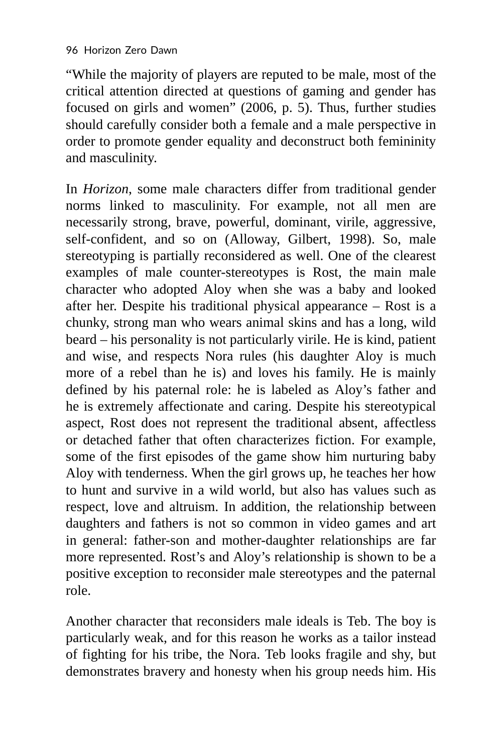"While the majority of players are reputed to be male, most of the critical attention directed at questions of gaming and gender has focused on girls and women" (2006, p. 5). Thus, further studies should carefully consider both a female and a male perspective in order to promote gender equality and deconstruct both femininity and masculinity.

In *Horizon*, some male characters differ from traditional gender norms linked to masculinity. For example, not all men are necessarily strong, brave, powerful, dominant, virile, aggressive, self-confident, and so on (Alloway, Gilbert, 1998). So, male stereotyping is partially reconsidered as well. One of the clearest examples of male counter-stereotypes is Rost, the main male character who adopted Aloy when she was a baby and looked after her. Despite his traditional physical appearance – Rost is a chunky, strong man who wears animal skins and has a long, wild beard – his personality is not particularly virile. He is kind, patient and wise, and respects Nora rules (his daughter Aloy is much more of a rebel than he is) and loves his family. He is mainly defined by his paternal role: he is labeled as Aloy's father and he is extremely affectionate and caring. Despite his stereotypical aspect, Rost does not represent the traditional absent, affectless or detached father that often characterizes fiction. For example, some of the first episodes of the game show him nurturing baby Aloy with tenderness. When the girl grows up, he teaches her how to hunt and survive in a wild world, but also has values such as respect, love and altruism. In addition, the relationship between daughters and fathers is not so common in video games and art in general: father-son and mother-daughter relationships are far more represented. Rost's and Aloy's relationship is shown to be a positive exception to reconsider male stereotypes and the paternal role.

Another character that reconsiders male ideals is Teb. The boy is particularly weak, and for this reason he works as a tailor instead of fighting for his tribe, the Nora. Teb looks fragile and shy, but demonstrates bravery and honesty when his group needs him. His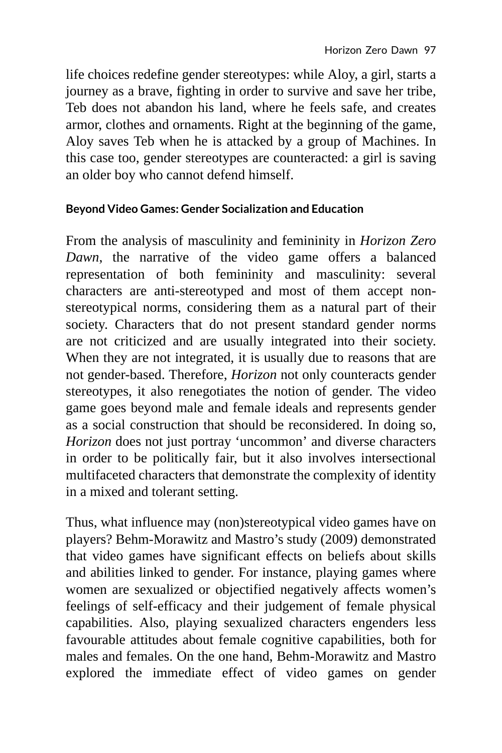life choices redefine gender stereotypes: while Aloy, a girl, starts a journey as a brave, fighting in order to survive and save her tribe, Teb does not abandon his land, where he feels safe, and creates armor, clothes and ornaments. Right at the beginning of the game, Aloy saves Teb when he is attacked by a group of Machines. In this case too, gender stereotypes are counteracted: a girl is saving an older boy who cannot defend himself.

#### **Beyond Video Games: Gender Socialization and Education**

From the analysis of masculinity and femininity in *Horizon Zero Dawn*, the narrative of the video game offers a balanced representation of both femininity and masculinity: several characters are anti-stereotyped and most of them accept nonstereotypical norms, considering them as a natural part of their society. Characters that do not present standard gender norms are not criticized and are usually integrated into their society. When they are not integrated, it is usually due to reasons that are not gender-based. Therefore, *Horizon* not only counteracts gender stereotypes, it also renegotiates the notion of gender. The video game goes beyond male and female ideals and represents gender as a social construction that should be reconsidered. In doing so, *Horizon* does not just portray 'uncommon' and diverse characters in order to be politically fair, but it also involves intersectional multifaceted characters that demonstrate the complexity of identity in a mixed and tolerant setting.

Thus, what influence may (non)stereotypical video games have on players? Behm-Morawitz and Mastro's study (2009) demonstrated that video games have significant effects on beliefs about skills and abilities linked to gender. For instance, playing games where women are sexualized or objectified negatively affects women's feelings of self-efficacy and their judgement of female physical capabilities. Also, playing sexualized characters engenders less favourable attitudes about female cognitive capabilities, both for males and females. On the one hand, Behm-Morawitz and Mastro explored the immediate effect of video games on gender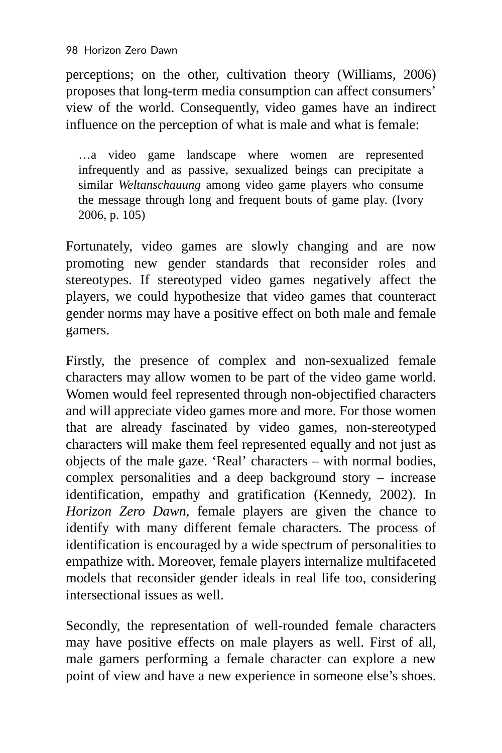perceptions; on the other, cultivation theory (Williams, 2006) proposes that long-term media consumption can affect consumers' view of the world. Consequently, video games have an indirect influence on the perception of what is male and what is female:

…a video game landscape where women are represented infrequently and as passive, sexualized beings can precipitate a similar *Weltanschauung* among video game players who consume the message through long and frequent bouts of game play. (Ivory 2006, p. 105)

Fortunately, video games are slowly changing and are now promoting new gender standards that reconsider roles and stereotypes. If stereotyped video games negatively affect the players, we could hypothesize that video games that counteract gender norms may have a positive effect on both male and female gamers.

Firstly, the presence of complex and non-sexualized female characters may allow women to be part of the video game world. Women would feel represented through non-objectified characters and will appreciate video games more and more. For those women that are already fascinated by video games, non-stereotyped characters will make them feel represented equally and not just as objects of the male gaze. 'Real' characters – with normal bodies, complex personalities and a deep background story – increase identification, empathy and gratification (Kennedy, 2002). In *Horizon Zero Dawn*, female players are given the chance to identify with many different female characters. The process of identification is encouraged by a wide spectrum of personalities to empathize with. Moreover, female players internalize multifaceted models that reconsider gender ideals in real life too, considering intersectional issues as well.

Secondly, the representation of well-rounded female characters may have positive effects on male players as well. First of all, male gamers performing a female character can explore a new point of view and have a new experience in someone else's shoes.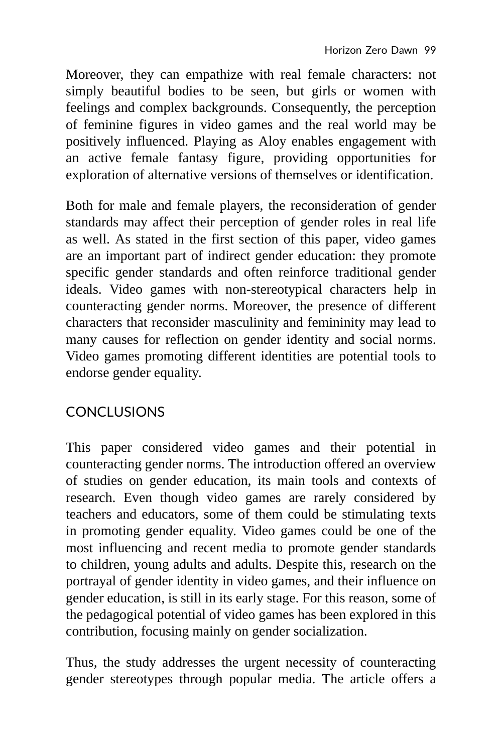Moreover, they can empathize with real female characters: not simply beautiful bodies to be seen, but girls or women with feelings and complex backgrounds. Consequently, the perception of feminine figures in video games and the real world may be positively influenced. Playing as Aloy enables engagement with an active female fantasy figure, providing opportunities for exploration of alternative versions of themselves or identification.

Both for male and female players, the reconsideration of gender standards may affect their perception of gender roles in real life as well. As stated in the first section of this paper, video games are an important part of indirect gender education: they promote specific gender standards and often reinforce traditional gender ideals. Video games with non-stereotypical characters help in counteracting gender norms. Moreover, the presence of different characters that reconsider masculinity and femininity may lead to many causes for reflection on gender identity and social norms. Video games promoting different identities are potential tools to endorse gender equality.

## **CONCLUSIONS**

This paper considered video games and their potential in counteracting gender norms. The introduction offered an overview of studies on gender education, its main tools and contexts of research. Even though video games are rarely considered by teachers and educators, some of them could be stimulating texts in promoting gender equality. Video games could be one of the most influencing and recent media to promote gender standards to children, young adults and adults. Despite this, research on the portrayal of gender identity in video games, and their influence on gender education, is still in its early stage. For this reason, some of the pedagogical potential of video games has been explored in this contribution, focusing mainly on gender socialization.

Thus, the study addresses the urgent necessity of counteracting gender stereotypes through popular media. The article offers a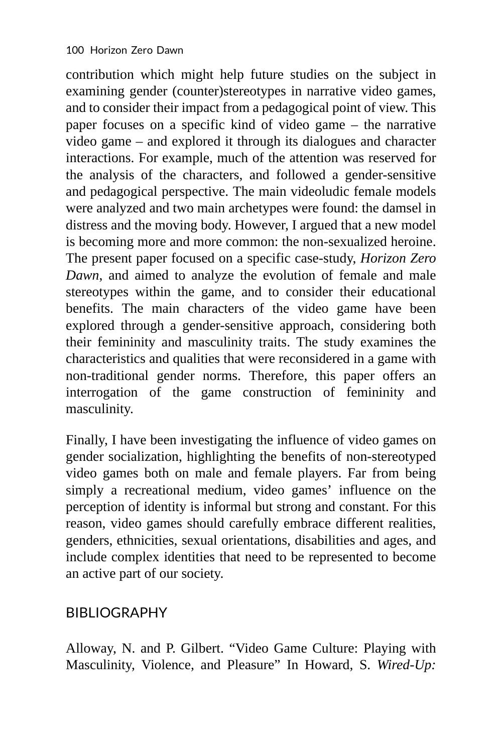contribution which might help future studies on the subject in examining gender (counter)stereotypes in narrative video games, and to consider their impact from a pedagogical point of view. This paper focuses on a specific kind of video game – the narrative video game – and explored it through its dialogues and character interactions. For example, much of the attention was reserved for the analysis of the characters, and followed a gender-sensitive and pedagogical perspective. The main videoludic female models were analyzed and two main archetypes were found: the damsel in distress and the moving body. However, I argued that a new model is becoming more and more common: the non-sexualized heroine. The present paper focused on a specific case-study, *Horizon Zero Dawn*, and aimed to analyze the evolution of female and male stereotypes within the game, and to consider their educational benefits. The main characters of the video game have been explored through a gender-sensitive approach, considering both their femininity and masculinity traits. The study examines the characteristics and qualities that were reconsidered in a game with non-traditional gender norms. Therefore, this paper offers an interrogation of the game construction of femininity and masculinity.

Finally, I have been investigating the influence of video games on gender socialization, highlighting the benefits of non-stereotyped video games both on male and female players. Far from being simply a recreational medium, video games' influence on the perception of identity is informal but strong and constant. For this reason, video games should carefully embrace different realities, genders, ethnicities, sexual orientations, disabilities and ages, and include complex identities that need to be represented to become an active part of our society.

#### BIBLIOGRAPHY

Alloway, N. and P. Gilbert. "Video Game Culture: Playing with Masculinity, Violence, and Pleasure" In Howard, S. *Wired-Up:*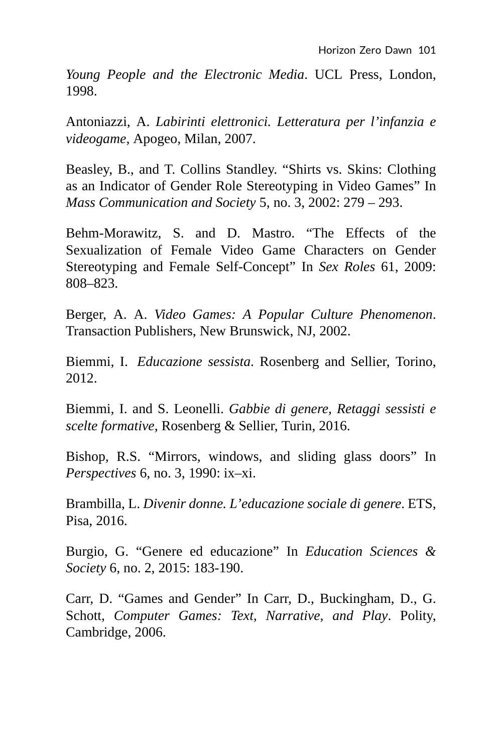*Young People and the Electronic Media*. UCL Press, London, 1998.

Antoniazzi, A. *Labirinti elettronici. Letteratura per l'infanzia e videogame*, Apogeo, Milan, 2007.

Beasley, B., and T. Collins Standley. "Shirts vs. Skins: Clothing as an Indicator of Gender Role Stereotyping in Video Games" In *Mass Communication and Society* 5, no. 3, 2002: 279 – 293.

Behm-Morawitz, S. and D. Mastro. "The Effects of the Sexualization of Female Video Game Characters on Gender Stereotyping and Female Self-Concept" In *Sex Roles* 61, 2009: 808–823.

Berger, A. A. *Video Games: A Popular Culture Phenomenon*. Transaction Publishers, New Brunswick, NJ, 2002.

Biemmi, I. *Educazione sessista*. Rosenberg and Sellier, Torino, 2012.

Biemmi, I. and S. Leonelli. *Gabbie di genere, Retaggi sessisti e scelte formative*, Rosenberg & Sellier, Turin, 2016.

Bishop, R.S. "Mirrors, windows, and sliding glass doors" In *Perspectives* 6, no. 3, 1990: ix–xi.

Brambilla, L. *Divenir donne. L'educazione sociale di genere*. ETS, Pisa, 2016.

Burgio, G. "Genere ed educazione" In *Education Sciences & Society* 6, no. 2, 2015: 183-190.

Carr, D. "Games and Gender" In Carr, D., Buckingham, D., G. Schott, *Computer Games: Text, Narrative, and Play*. Polity, Cambridge, 2006.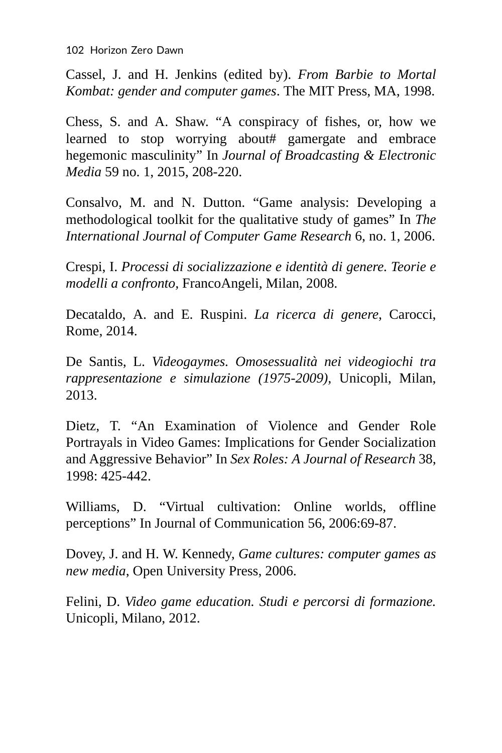102 Horizon Zero Dawn

Cassel, J. and H. Jenkins (edited by). *From Barbie to Mortal Kombat: gender and computer games*. The MIT Press, MA, 1998.

Chess, S. and A. Shaw. "A conspiracy of fishes, or, how we learned to stop worrying about# gamergate and embrace hegemonic masculinity" In *Journal of Broadcasting & Electronic Media* 59 no. 1, 2015, 208-220.

Consalvo, M. and N. Dutton. "Game analysis: Developing a methodological toolkit for the qualitative study of games" In *The International Journal of Computer Game Research* 6, no. 1, 2006.

Crespi, I. *Processi di socializzazione e identità di genere. Teorie e modelli a confronto,* FrancoAngeli, Milan, 2008.

Decataldo, A. and E. Ruspini. *La ricerca di genere*, Carocci, Rome, 2014.

De Santis, L. *Videogaymes. Omosessualità nei videogiochi tra rappresentazione e simulazione (1975-2009),* Unicopli, Milan, 2013.

Dietz, T. "An Examination of Violence and Gender Role Portrayals in Video Games: Implications for Gender Socialization and Aggressive Behavior" In *Sex Roles: A Journal of Research* 38, 1998: 425-442.

Williams, D. "Virtual cultivation: Online worlds, offline perceptions" In Journal of Communication 56, 2006:69-87.

Dovey, J. and H. W. Kennedy, *Game cultures: computer games as new media*, Open University Press, 2006.

Felini, D. *Video game education. Studi e percorsi di formazione.* Unicopli, Milano, 2012.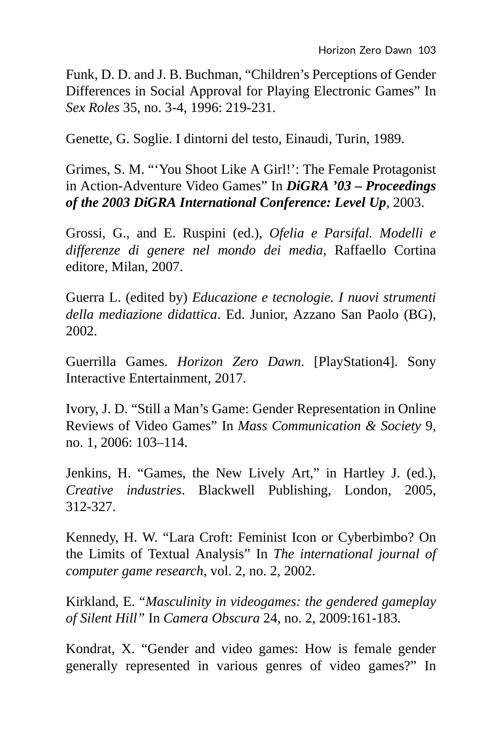Funk, D. D. and J. B. Buchman, "Children's Perceptions of Gender Differences in Social Approval for Playing Electronic Games" In *Sex Roles* 35, no. 3-4, 1996: 219-231.

Genette, G. Soglie. I dintorni del testo, Einaudi, Turin, 1989.

Grimes, S. M. "'You Shoot Like A Girl!': The Female Protagonist in Action-Adventure Video Games" In *DiGRA '03 – Proceedings of the 2003 DiGRA International Conference: Level Up*, 2003.

Grossi, G., and E. Ruspini (ed.), *Ofelia e Parsifal. Modelli e differenze di genere nel mondo dei media*, Raffaello Cortina editore, Milan, 2007.

Guerra L. (edited by) *Educazione e tecnologie. I nuovi strumenti della mediazione didattica*. Ed. Junior, Azzano San Paolo (BG), 2002.

Guerrilla Games. *Horizon Zero Dawn*. [PlayStation4]. Sony Interactive Entertainment, 2017.

Ivory, J. D. "Still a Man's Game: Gender Representation in Online Reviews of Video Games" In *Mass Communication & Society* 9, no. 1, 2006: 103–114.

Jenkins, H. "Games, the New Lively Art," in Hartley J. (ed.), *Creative industries*. Blackwell Publishing, London, 2005, 312-327.

Kennedy, H. W. "Lara Croft: Feminist Icon or Cyberbimbo? On the Limits of Textual Analysis" In *The international journal of computer game research,* vol. 2, no. 2, 2002.

Kirkland, E. "*Masculinity in videogames: the gendered gameplay of Silent Hill"* In *Camera Obscura* 24, no. 2, 2009:161-183.

Kondrat, X. "Gender and video games: How is female gender generally represented in various genres of video games?" In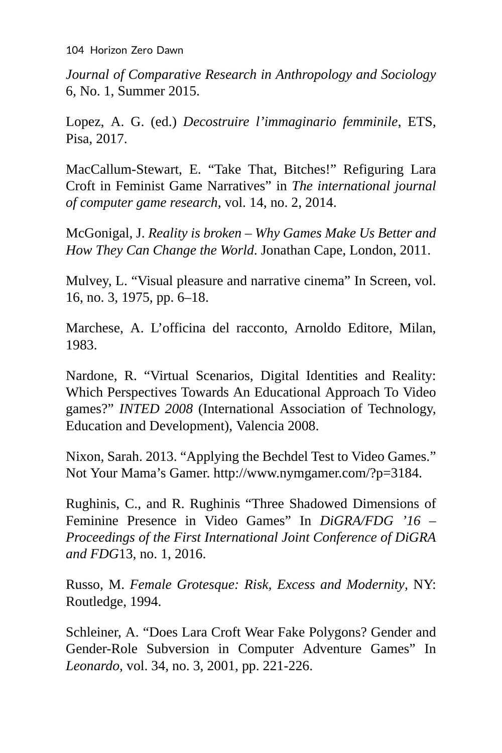104 Horizon Zero Dawn

*Journal of Comparative Research in Anthropology and Sociology* 6, No. 1, Summer 2015.

Lopez, A. G. (ed.) *Decostruire l'immaginario femminile*, ETS, Pisa, 2017.

MacCallum-Stewart, E. "Take That, Bitches!" Refiguring Lara Croft in Feminist Game Narratives" in *The international journal of computer game research*, vol. 14, no. 2, 2014.

McGonigal, J. *Reality is broken – Why Games Make Us Better and How They Can Change the World*. Jonathan Cape, London, 2011.

Mulvey, L. "Visual pleasure and narrative cinema" In Screen, vol. 16, no. 3, 1975, pp. 6–18.

Marchese, A. L'officina del racconto, Arnoldo Editore, Milan, 1983.

Nardone, R. "Virtual Scenarios, Digital Identities and Reality: Which Perspectives Towards An Educational Approach To Video games?" *INTED 2008* (International Association of Technology, Education and Development), Valencia 2008.

Nixon, Sarah. 2013. "Applying the Bechdel Test to Video Games." Not Your Mama's Gamer. http://www.nymgamer.com/?p=3184.

Rughinis, C., and R. Rughinis "Three Shadowed Dimensions of Feminine Presence in Video Games" In *DiGRA/FDG '16 – Proceedings of the First International Joint Conference of DiGRA and FDG*13, no. 1, 2016.

Russo, M. *Female Grotesque: Risk, Excess and Modernity*, NY: Routledge, 1994.

Schleiner, A. "Does Lara Croft Wear Fake Polygons? Gender and Gender-Role Subversion in Computer Adventure Games" In *Leonardo*, vol. 34, no. 3, 2001, pp. 221-226.